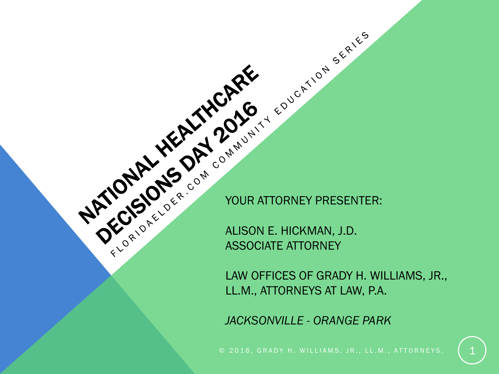YOUR ATTORNEY PRESENTER:

ALISON E. HICKMAN, J.D. ASSOCIATE ATTORNEY

LAW OFFICES OF GRADY H. WILLIAMS, JR., LL.M., ATTORNEYS AT LAW, P.A.

*JACKSONVILLE - ORANGE PARK*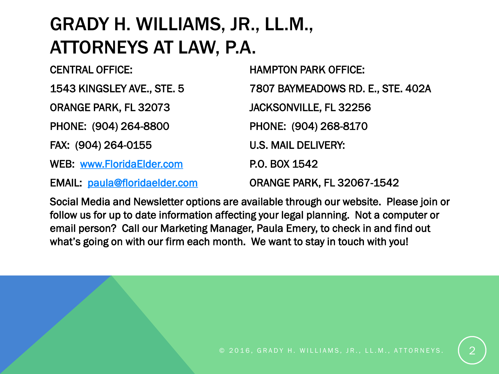#### GRADY H. WILLIAMS, JR., LL.M., ATTORNEYS AT LAW, P.A.

| <b>CENTRAL OFFICE:</b>               | <b>HAMPTON PARK OFFICE:</b>       |
|--------------------------------------|-----------------------------------|
| 1543 KINGSLEY AVE., STE. 5           | 7807 BAYMEADOWS RD. E., STE. 402A |
| ORANGE PARK, FL 32073                | JACKSONVILLE, FL 32256            |
| PHONE: (904) 264-8800                | PHONE: (904) 268-8170             |
| FAX: (904) 264-0155                  | <b>U.S. MAIL DELIVERY:</b>        |
| <b>WEB: www.FloridaElder.com</b>     | P.O. BOX 1542                     |
| <b>EMAIL: paula@floridaeIder.com</b> | <b>ORANGE PARK, FL 32067-1542</b> |

Social Media and Newsletter options are available through our website. Please join or follow us for up to date information affecting your legal planning. Not a computer or email person? Call our Marketing Manager, Paula Emery, to check in and find out what's going on with our firm each month. We want to stay in touch with you!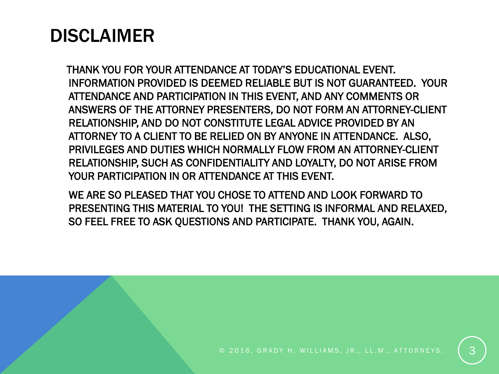#### DISCLAIMER

THANK YOU FOR YOUR ATTENDANCE AT TODAY'S EDUCATIONAL EVENT. INFORMATION PROVIDED IS DEEMED RELIABLE BUT IS NOT GUARANTEED. YOUR ATTENDANCE AND PARTICIPATION IN THIS EVENT, AND ANY COMMENTS OR ANSWERS OF THE ATTORNEY PRESENTERS, DO NOT FORM AN ATTORNEY-CLIENT RELATIONSHIP, AND DO NOT CONSTITUTE LEGAL ADVICE PROVIDED BY AN ATTORNEY TO A CLIENT TO BE RELIED ON BY ANYONE IN ATTENDANCE. ALSO, PRIVILEGES AND DUTIES WHICH NORMALLY FLOW FROM AN ATTORNEY-CLIENT RELATIONSHIP, SUCH AS CONFIDENTIALITY AND LOYALTY, DO NOT ARISE FROM YOUR PARTICIPATION IN OR ATTENDANCE AT THIS EVENT.

WE ARE SO PLEASED THAT YOU CHOSE TO ATTEND AND LOOK FORWARD TO PRESENTING THIS MATERIAL TO YOU! THE SETTING IS INFORMAL AND RELAXED, SO FEEL FREE TO ASK QUESTIONS AND PARTICIPATE. THANK YOU, AGAIN.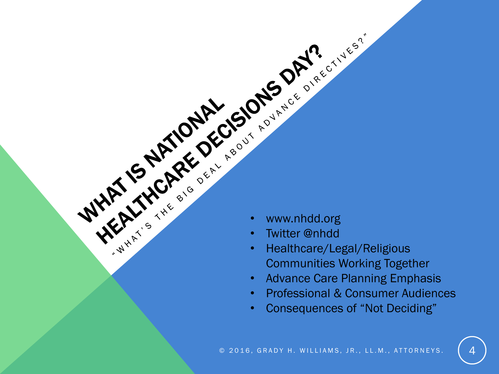- www.nhdd.org
- Twitter @nhdd
- Healthcare/Legal/Religious Communities Working Together
- Advance Care Planning Emphasis
- Professional & Consumer Audiences
- Consequences of "Not Deciding"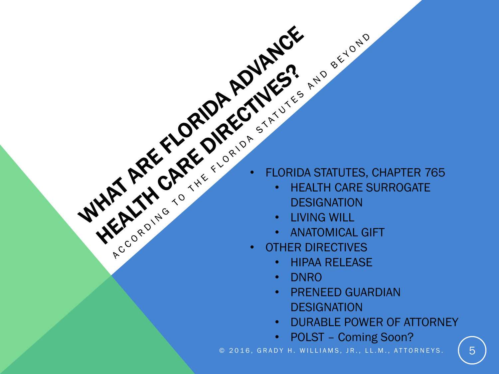- 
- WHAT ARE CARE OF ROUTING STATUTES, CHAPTER 765 • HEALTH CARE SURROGATE **DESIGNATION** 
	- LIVING WILL
	- ANATOMICAL GIFT
	- OTHER DIRECTIVES
		- HIPAA RELEASE
		- DNRO
		- PRENEED GUARDIAN **DESIGNATION**
		- DURABLE POWER OF ATTORNEY
		- POLST Coming Soon?

© 2016, GRADY H. WILLIAMS, JR., LL.M., ATTORNEYS.  $\begin{pmatrix} 5 \end{pmatrix}$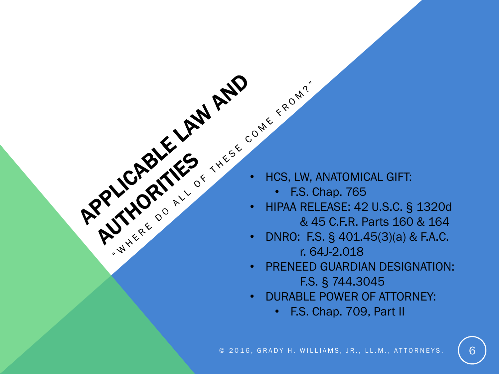- - F.S. Chap. 765
- HIPAA RELEASE: 42 U.S.C. § 1320d & 45 C.F.R. Parts 160 & 164
- **EXAMPLE ASSESS ANATOMICAL GIFT:**<br> **EXAMPLE ASSESS ANATOMICAL GIFT:**<br>
F.S. Chap. 765<br> **EXAMPLE ASSESS ANATOMICAL GIFT:**<br> **EXAMPLE ASSESS ANATOMICAL GIFT:**<br> **EXAMPLE ASSESS ANATOMICAL GIFT:**<br> **EXAMPLE ASSESS ANATOMICAL GIFT** • DNRO: F.S. § 401.45(3)(a) & F.A.C. r. 64J-2.018
	- PRENEED GUARDIAN DESIGNATION: F.S. § 744.3045
	- DURABLE POWER OF ATTORNEY:
		- F.S. Chap. 709, Part II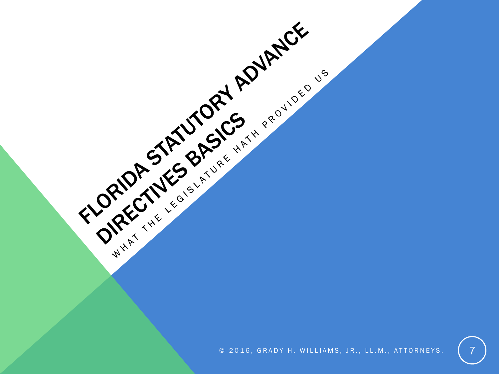© 2016, GRADY H. WILLIAMS, JR., LL.M., ATTORNEYS.

FLORIDA STATUS BASICS AND RAIDER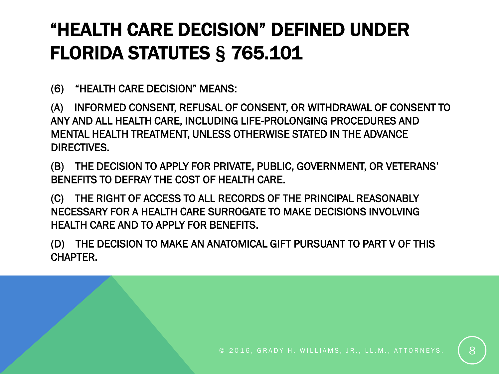# "HEALTH CARE DECISION" DEFINED UNDER FLORIDA STATUTES § 765.101

(6) "HEALTH CARE DECISION" MEANS:

(A) INFORMED CONSENT, REFUSAL OF CONSENT, OR WITHDRAWAL OF CONSENT TO ANY AND ALL HEALTH CARE, INCLUDING LIFE-PROLONGING PROCEDURES AND MENTAL HEALTH TREATMENT, UNLESS OTHERWISE STATED IN THE ADVANCE DIRECTIVES.

(B) THE DECISION TO APPLY FOR PRIVATE, PUBLIC, GOVERNMENT, OR VETERANS' BENEFITS TO DEFRAY THE COST OF HEALTH CARE.

(C) THE RIGHT OF ACCESS TO ALL RECORDS OF THE PRINCIPAL REASONABLY NECESSARY FOR A HEALTH CARE SURROGATE TO MAKE DECISIONS INVOLVING HEALTH CARE AND TO APPLY FOR BENEFITS.

(D) THE DECISION TO MAKE AN ANATOMICAL GIFT PURSUANT TO PART V OF THIS CHAPTER.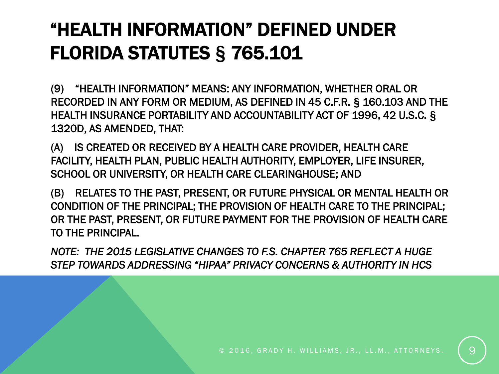## "HEALTH INFORMATION" DEFINED UNDER FLORIDA STATUTES § 765.101

(9) "HEALTH INFORMATION" MEANS: ANY INFORMATION, WHETHER ORAL OR RECORDED IN ANY FORM OR MEDIUM, AS DEFINED IN 45 C.F.R. § 160.103 AND THE HEALTH INSURANCE PORTABILITY AND ACCOUNTABILITY ACT OF 1996, 42 U.S.C. § 1320D, AS AMENDED, THAT:

(A) IS CREATED OR RECEIVED BY A HEALTH CARE PROVIDER, HEALTH CARE FACILITY, HEALTH PLAN, PUBLIC HEALTH AUTHORITY, EMPLOYER, LIFE INSURER, SCHOOL OR UNIVERSITY, OR HEALTH CARE CLEARINGHOUSE; AND

(B) RELATES TO THE PAST, PRESENT, OR FUTURE PHYSICAL OR MENTAL HEALTH OR CONDITION OF THE PRINCIPAL; THE PROVISION OF HEALTH CARE TO THE PRINCIPAL; OR THE PAST, PRESENT, OR FUTURE PAYMENT FOR THE PROVISION OF HEALTH CARE TO THE PRINCIPAL.

*NOTE: THE 2015 LEGISLATIVE CHANGES TO F.S. CHAPTER 765 REFLECT A HUGE STEP TOWARDS ADDRESSING "HIPAA" PRIVACY CONCERNS & AUTHORITY IN HCS*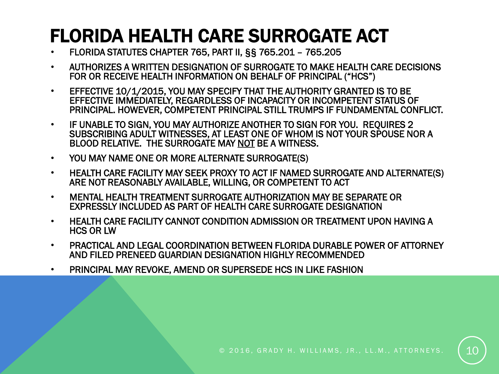### FLORIDA HEALTH CARE SURROGATE ACT

- FLORIDA STATUTES CHAPTER 765, PART II, §§ 765.201 765.205
- AUTHORIZES A WRITTEN DESIGNATION OF SURROGATE TO MAKE HEALTH CARE DECISIONS FOR OR RECEIVE HEALTH INFORMATION ON BEHALF OF PRINCIPAL ("HCS")
- EFFECTIVE 10/1/2015, YOU MAY SPECIFY THAT THE AUTHORITY GRANTED IS TO BE EFFECTIVE IMMEDIATELY, REGARDLESS OF INCAPACITY OR INCOMPETENT STATUS OF PRINCIPAL. HOWEVER, COMPETENT PRINCIPAL STILL TRUMPS IF FUNDAMENTAL CONFLICT.
- IF UNABLE TO SIGN, YOU MAY AUTHORIZE ANOTHER TO SIGN FOR YOU. REQUIRES 2 SUBSCRIBING ADULT WITNESSES, AT LEAST ONE OF WHOM IS NOT YOUR SPOUSE NOR A BLOOD RELATIVE. THE SURROGATE MAY NOT BE A WITNESS.
- YOU MAY NAME ONE OR MORE ALTERNATE SURROGATE(S)
- HEALTH CARE FACILITY MAY SEEK PROXY TO ACT IF NAMED SURROGATE AND ALTERNATE(S) ARE NOT REASONABLY AVAILABLE, WILLING, OR COMPETENT TO ACT
- MENTAL HEALTH TREATMENT SURROGATE AUTHORIZATION MAY BE SEPARATE OR EXPRESSLY INCLUDED AS PART OF HEALTH CARE SURROGATE DESIGNATION
- HEALTH CARE FACILITY CANNOT CONDITION ADMISSION OR TREATMENT UPON HAVING A HCS OR LW
- PRACTICAL AND LEGAL COORDINATION BETWEEN FLORIDA DURABLE POWER OF ATTORNEY AND FILED PRENEED GUARDIAN DESIGNATION HIGHLY RECOMMENDED
- PRINCIPAL MAY REVOKE, AMEND OR SUPERSEDE HCS IN LIKE FASHION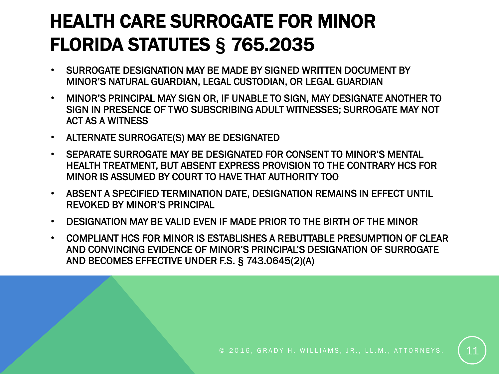## HEALTH CARE SURROGATE FOR MINOR FLORIDA STATUTES § 765.2035

- SURROGATE DESIGNATION MAY BE MADE BY SIGNED WRITTEN DOCUMENT BY MINOR'S NATURAL GUARDIAN, LEGAL CUSTODIAN, OR LEGAL GUARDIAN
- MINOR'S PRINCIPAL MAY SIGN OR, IF UNABLE TO SIGN, MAY DESIGNATE ANOTHER TO SIGN IN PRESENCE OF TWO SUBSCRIBING ADULT WITNESSES; SURROGATE MAY NOT ACT AS A WITNESS
- ALTERNATE SURROGATE(S) MAY BE DESIGNATED
- SEPARATE SURROGATE MAY BE DESIGNATED FOR CONSENT TO MINOR'S MENTAL HEALTH TREATMENT, BUT ABSENT EXPRESS PROVISION TO THE CONTRARY HCS FOR MINOR IS ASSUMED BY COURT TO HAVE THAT AUTHORITY TOO
- ABSENT A SPECIFIED TERMINATION DATE, DESIGNATION REMAINS IN EFFECT UNTIL REVOKED BY MINOR'S PRINCIPAL
- DESIGNATION MAY BE VALID EVEN IF MADE PRIOR TO THE BIRTH OF THE MINOR
- COMPLIANT HCS FOR MINOR IS ESTABLISHES A REBUTTABLE PRESUMPTION OF CLEAR AND CONVINCING EVIDENCE OF MINOR'S PRINCIPAL'S DESIGNATION OF SURROGATE AND BECOMES EFFECTIVE UNDER F.S. § 743.0645(2)(A)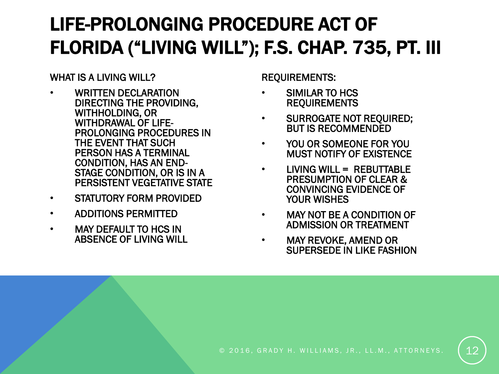# LIFE-PROLONGING PROCEDURE ACT OF FLORIDA ("LIVING WILL"); F.S. CHAP. 735, PT. III

WHAT IS A LIVING WILL?

- WRITTEN DECLARATION DIRECTING THE PROVIDING, WITHHOLDING, OR WITHDRAWAL OF LIFE-PROLONGING PROCEDURES IN THE EVENT THAT SUCH PERSON HAS A TERMINAL CONDITION, HAS AN END-STAGE CONDITION, OR IS IN A PERSISTENT VEGETATIVE STATE
- STATUTORY FORM PROVIDED
- ADDITIONS PERMITTED
- MAY DEFAULT TO HCS IN ABSENCE OF LIVING WILL

REQUIREMENTS:

- SIMILAR TO HCS REQUIREMENTS
- SURROGATE NOT REQUIRED; BUT IS RECOMMENDED
- YOU OR SOMEONE FOR YOU MUST NOTIFY OF EXISTENCE
- LIVING WILL = REBUTTABLE PRESUMPTION OF CLEAR & CONVINCING EVIDENCE OF YOUR WISHES
- MAY NOT BE A CONDITION OF ADMISSION OR TREATMENT
- MAY REVOKE, AMEND OR SUPERSEDE IN LIKE FASHION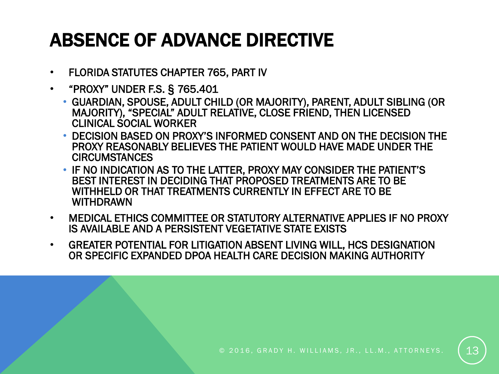## ABSENCE OF ADVANCE DIRECTIVE

- FLORIDA STATUTES CHAPTER 765, PART IV
- "PROXY" UNDER F.S. § 765.401
	- GUARDIAN, SPOUSE, ADULT CHILD (OR MAJORITY), PARENT, ADULT SIBLING (OR MAJORITY), "SPECIAL" ADULT RELATIVE, CLOSE FRIEND, THEN LICENSED CLINICAL SOCIAL WORKER
	- DECISION BASED ON PROXY'S INFORMED CONSENT AND ON THE DECISION THE PROXY REASONABLY BELIEVES THE PATIENT WOULD HAVE MADE UNDER THE **CIRCUMSTANCES**
	- IF NO INDICATION AS TO THE LATTER, PROXY MAY CONSIDER THE PATIENT'S BEST INTEREST IN DECIDING THAT PROPOSED TREATMENTS ARE TO BE WITHHELD OR THAT TREATMENTS CURRENTLY IN EFFECT ARE TO BE WITHDRAWN
- MEDICAL ETHICS COMMITTEE OR STATUTORY ALTERNATIVE APPLIES IF NO PROXY IS AVAILABLE AND A PERSISTENT VEGETATIVE STATE EXISTS
- GREATER POTENTIAL FOR LITIGATION ABSENT LIVING WILL, HCS DESIGNATION OR SPECIFIC EXPANDED DPOA HEALTH CARE DECISION MAKING AUTHORITY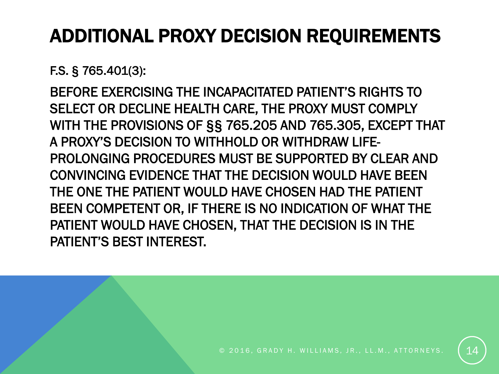# ADDITIONAL PROXY DECISION REQUIREMENTS

F.S. § 765.401(3):

BEFORE EXERCISING THE INCAPACITATED PATIENT'S RIGHTS TO SELECT OR DECLINE HEALTH CARE, THE PROXY MUST COMPLY WITH THE PROVISIONS OF §§ 765.205 AND 765.305, EXCEPT THAT A PROXY'S DECISION TO WITHHOLD OR WITHDRAW LIFE-PROLONGING PROCEDURES MUST BE SUPPORTED BY CLEAR AND CONVINCING EVIDENCE THAT THE DECISION WOULD HAVE BEEN THE ONE THE PATIENT WOULD HAVE CHOSEN HAD THE PATIENT BEEN COMPETENT OR, IF THERE IS NO INDICATION OF WHAT THE PATIENT WOULD HAVE CHOSEN, THAT THE DECISION IS IN THE PATIENT'S BEST INTEREST.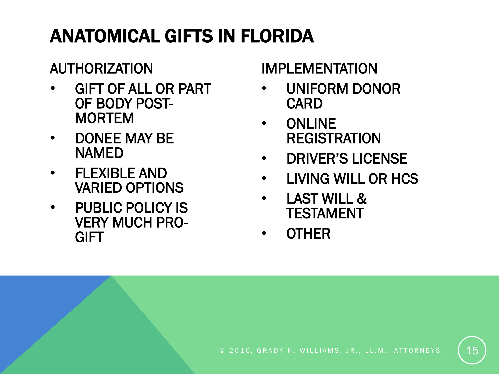# ANATOMICAL GIFTS IN FLORIDA

#### AUTHORIZATION

- GIFT OF ALL OR PART OF BODY POST-MORTEM
- DONEE MAY BE NAMED
- FLEXIBLE AND VARIED OPTIONS
- PUBLIC POLICY IS VERY MUCH PRO-**GIFT**

#### IMPLEMENTATION

- UNIFORM DONOR CARD
- ONLINE REGISTRATION
- DRIVER'S LICENSE
- LIVING WILL OR HCS
- LAST WILL & TESTAMENT
- OTHER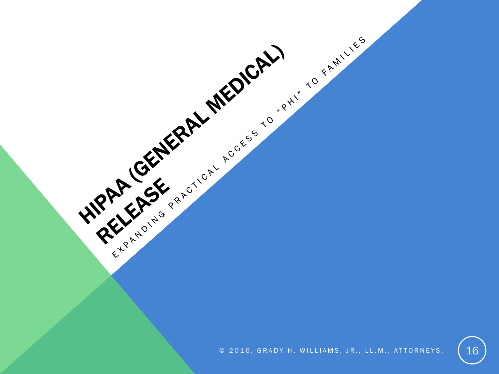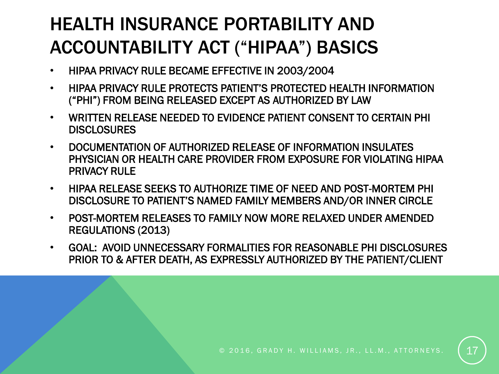#### HEALTH INSURANCE PORTABILITY AND ACCOUNTABILITY ACT ("HIPAA") BASICS

- HIPAA PRIVACY RULE BECAME EFFECTIVE IN 2003/2004
- HIPAA PRIVACY RULE PROTECTS PATIENT'S PROTECTED HEALTH INFORMATION ("PHI") FROM BEING RELEASED EXCEPT AS AUTHORIZED BY LAW
- WRITTEN RELEASE NEEDED TO EVIDENCE PATIENT CONSENT TO CERTAIN PHI **DISCLOSURES**
- DOCUMENTATION OF AUTHORIZED RELEASE OF INFORMATION INSULATES PHYSICIAN OR HEALTH CARE PROVIDER FROM EXPOSURE FOR VIOLATING HIPAA PRIVACY RULE
- HIPAA RELEASE SEEKS TO AUTHORIZE TIME OF NEED AND POST-MORTEM PHI DISCLOSURE TO PATIENT'S NAMED FAMILY MEMBERS AND/OR INNER CIRCLE
- POST-MORTEM RELEASES TO FAMILY NOW MORE RELAXED UNDER AMENDED REGULATIONS (2013)
- GOAL: AVOID UNNECESSARY FORMALITIES FOR REASONABLE PHI DISCLOSURES PRIOR TO & AFTER DEATH, AS EXPRESSLY AUTHORIZED BY THE PATIENT/CLIENT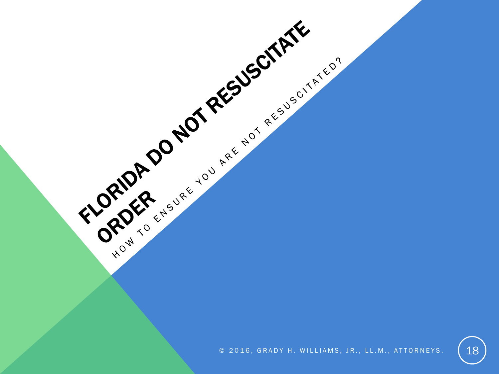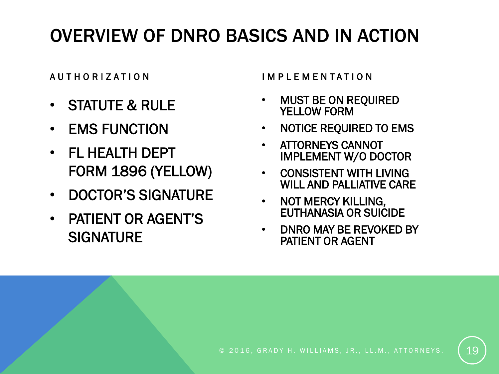#### OVERVIEW OF DNRO BASICS AND IN ACTION

- STATUTE & RULE
- EMS FUNCTION
- FL HEALTH DEPT FORM 1896 (YELLOW)
- DOCTOR'S SIGNATURE
- PATIENT OR AGENT'S **SIGNATURE**

A U T H O R I Z A T I O N  $\blacksquare$  I M P L E M E N T A T I O N

- MUST BE ON REQUIRED YELLOW FORM
- NOTICE REQUIRED TO EMS
- ATTORNEYS CANNOT IMPLEMENT W/O DOCTOR
- CONSISTENT WITH LIVING WILL AND PALLIATIVE CARE
- NOT MERCY KILLING, EUTHANASIA OR SUICIDE
- DNRO MAY BE REVOKED BY PATIENT OR AGENT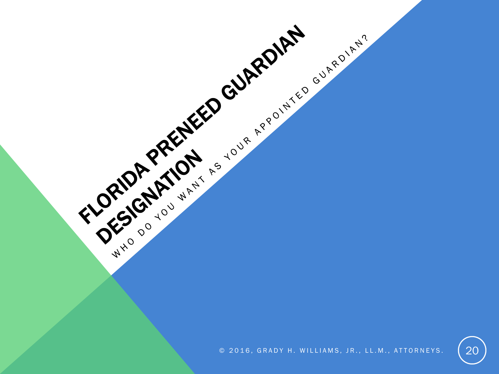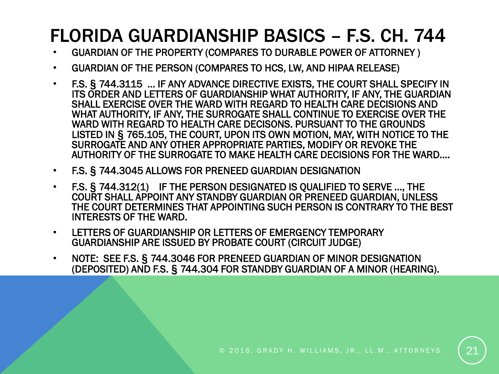#### FLORIDA GUARDIANSHIP BASICS – F.S. CH. 744

- GUARDIAN OF THE PROPERTY (COMPARES TO DURABLE POWER OF ATTORNEY )
- GUARDIAN OF THE PERSON (COMPARES TO HCS, LW, AND HIPAA RELEASE)
- F.S. § 744.3115 … IF ANY ADVANCE DIRECTIVE EXISTS, THE COURT SHALL SPECIFY IN ITS ORDER AND LETTERS OF GUARDIANSHIP WHAT AUTHORITY, IF ANY, THE GUARDIAN SHALL EXERCISE OVER THE WARD WITH REGARD TO HEALTH CARE DECISIONS AND WHAT AUTHORITY, IF ANY, THE SURROGATE SHALL CONTINUE TO EXERCISE OVER THE WARD WITH REGARD TO HEALTH CARE DECISONS. PURSUANT TO THE GROUNDS LISTED IN § 765.105, THE COURT, UPON ITS OWN MOTION, MAY, WITH NOTICE TO THE SURROGATE AND ANY OTHER APPROPRIATE PARTIES, MODIFY OR REVOKE THE AUTHORITY OF THE SURROGATE TO MAKE HEALTH CARE DECISIONS FOR THE WARD….
- F.S. § 744.3045 ALLOWS FOR PRENEED GUARDIAN DESIGNATION
- F.S. § 744.312(1) IF THE PERSON DESIGNATED IS QUALIFIED TO SERVE …, THE COURT SHALL APPOINT ANY STANDBY GUARDIAN OR PRENEED GUARDIAN, UNLESS THE COURT DETERMINES THAT APPOINTING SUCH PERSON IS CONTRARY TO THE BEST INTERESTS OF THE WARD.
- LETTERS OF GUARDIANSHIP OR LETTERS OF EMERGENCY TEMPORARY GUARDIANSHIP ARE ISSUED BY PROBATE COURT (CIRCUIT JUDGE)
- NOTE: SEE F.S. § 744.3046 FOR PRENEED GUARDIAN OF MINOR DESIGNATION (DEPOSITED) AND F.S. § 744.304 FOR STANDBY GUARDIAN OF A MINOR (HEARING).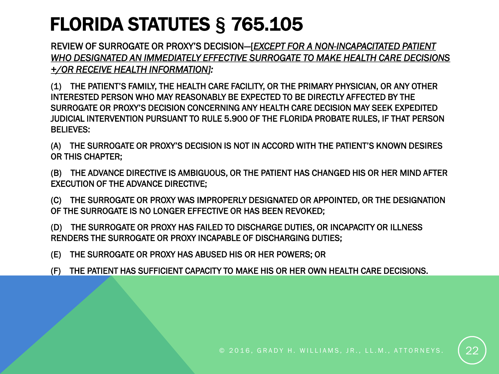## FLORIDA STATUTES § 765.105

REVIEW OF SURROGATE OR PROXY'S DECISION—[*EXCEPT FOR A NON-INCAPACITATED PATIENT WHO DESIGNATED AN IMMEDIATELY EFFECTIVE SURROGATE TO MAKE HEALTH CARE DECISIONS +/OR RECEIVE HEALTH INFORMATION]:*

(1) THE PATIENT'S FAMILY, THE HEALTH CARE FACILITY, OR THE PRIMARY PHYSICIAN, OR ANY OTHER INTERESTED PERSON WHO MAY REASONABLY BE EXPECTED TO BE DIRECTLY AFFECTED BY THE SURROGATE OR PROXY'S DECISION CONCERNING ANY HEALTH CARE DECISION MAY SEEK EXPEDITED JUDICIAL INTERVENTION PURSUANT TO RULE 5.900 OF THE FLORIDA PROBATE RULES, IF THAT PERSON BELIEVES:

(A) THE SURROGATE OR PROXY'S DECISION IS NOT IN ACCORD WITH THE PATIENT'S KNOWN DESIRES OR THIS CHAPTER;

(B) THE ADVANCE DIRECTIVE IS AMBIGUOUS, OR THE PATIENT HAS CHANGED HIS OR HER MIND AFTER EXECUTION OF THE ADVANCE DIRECTIVE;

(C) THE SURROGATE OR PROXY WAS IMPROPERLY DESIGNATED OR APPOINTED, OR THE DESIGNATION OF THE SURROGATE IS NO LONGER EFFECTIVE OR HAS BEEN REVOKED;

(D) THE SURROGATE OR PROXY HAS FAILED TO DISCHARGE DUTIES, OR INCAPACITY OR ILLNESS RENDERS THE SURROGATE OR PROXY INCAPABLE OF DISCHARGING DUTIES;

(E) THE SURROGATE OR PROXY HAS ABUSED HIS OR HER POWERS; OR

(F) THE PATIENT HAS SUFFICIENT CAPACITY TO MAKE HIS OR HER OWN HEALTH CARE DECISIONS.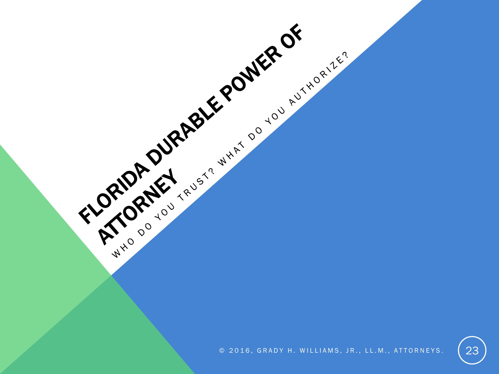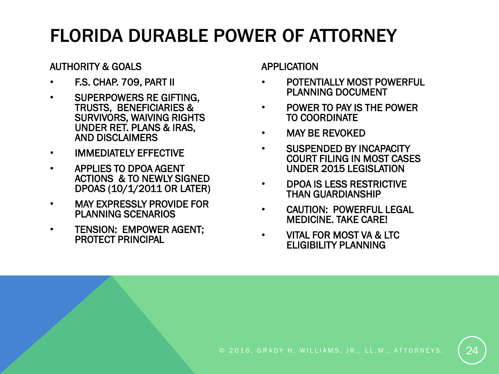#### FLORIDA DURABLE POWER OF ATTORNEY

#### AUTHORITY & GOALS

- F.S. CHAP. 709, PART II
- SUPERPOWERS RE GIFTING, TRUSTS, BENEFICIARIES & SURVIVORS, WAIVING RIGHTS UNDER RET. PLANS & IRAS, AND DISCLAIMERS
- IMMEDIATELY EFFECTIVE
- APPLIES TO DPOA AGENT ACTIONS & TO NEWLY SIGNED DPOAS (10/1/2011 OR LATER)
- MAY EXPRESSLY PROVIDE FOR PLANNING SCENARIOS
- TENSION: EMPOWER AGENT; PROTECT PRINCIPAL

APPLICATION

- POTENTIALLY MOST POWERFUL PLANNING DOCUMENT
- POWER TO PAY IS THE POWER TO COORDINATE
- MAY BE REVOKED
- SUSPENDED BY INCAPACITY COURT FILING IN MOST CASES UNDER 2015 LEGISLATION
- DPOA IS LESS RESTRICTIVE THAN GUARDIANSHIP
- CAUTION: POWERFUL LEGAL MEDICINE. TAKE CARE!
- VITAL FOR MOST VA & LTC ELIGIBILITY PLANNING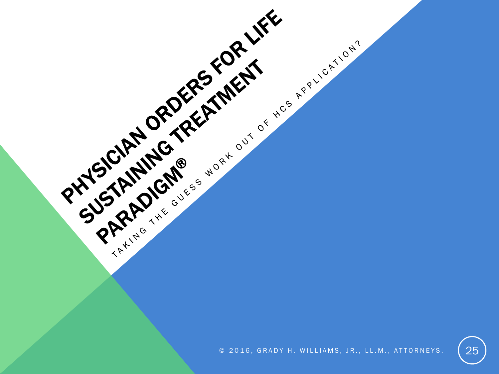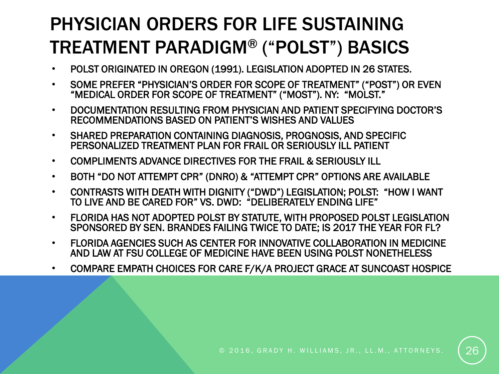#### PHYSICIAN ORDERS FOR LIFE SUSTAINING TREATMENT PARADIGM® ("POLST") BASICS

- POLST ORIGINATED IN OREGON (1991). LEGISLATION ADOPTED IN 26 STATES.
- SOME PREFER "PHYSICIAN'S ORDER FOR SCOPE OF TREATMENT" ("POST") OR EVEN "MEDICAL ORDER FOR SCOPE OF TREATMENT" ("MOST"). NY: "MOLST."
- DOCUMENTATION RESULTING FROM PHYSICIAN AND PATIENT SPECIFYING DOCTOR'S RECOMMENDATIONS BASED ON PATIENT'S WISHES AND VALUES
- SHARED PREPARATION CONTAINING DIAGNOSIS, PROGNOSIS, AND SPECIFIC PERSONALIZED TREATMENT PLAN FOR FRAIL OR SERIOUSLY ILL PATIENT
- COMPLIMENTS ADVANCE DIRECTIVES FOR THE FRAIL & SERIOUSLY ILL
- BOTH "DO NOT ATTEMPT CPR" (DNRO) & "ATTEMPT CPR" OPTIONS ARE AVAILABLE
- CONTRASTS WITH DEATH WITH DIGNITY ("DWD") LEGISLATION; POLST: "HOW I WANT TO LIVE AND BE CARED FOR" VS. DWD: "DELIBERATELY ENDING LIFE"
- FLORIDA HAS NOT ADOPTED POLST BY STATUTE, WITH PROPOSED POLST LEGISLATION SPONSORED BY SEN. BRANDES FAILING TWICE TO DATE; IS 2017 THE YEAR FOR FL?
- FLORIDA AGENCIES SUCH AS CENTER FOR INNOVATIVE COLLABORATION IN MEDICINE AND LAW AT FSU COLLEGE OF MEDICINE HAVE BEEN USING POLST NONETHELESS
- COMPARE EMPATH CHOICES FOR CARE F/K/A PROJECT GRACE AT SUNCOAST HOSPICE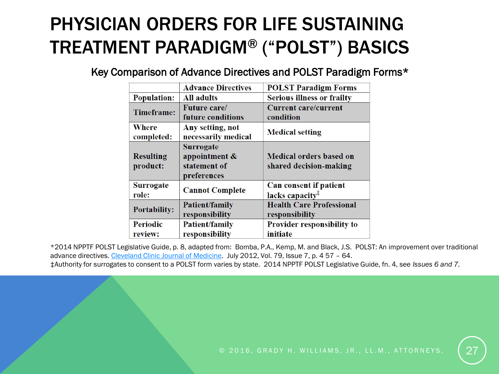#### PHYSICIAN ORDERS FOR LIFE SUSTAINING TREATMENT PARADIGM® ("POLST") BASICS

Key Comparison of Advance Directives and POLST Paradigm Forms\*

|                              | <b>Advance Directives</b>                                        | <b>POLST Paradigm Forms</b>                                               |
|------------------------------|------------------------------------------------------------------|---------------------------------------------------------------------------|
| <b>Population:</b>           | <b>All adults</b>                                                | <b>Serious illness or frailty</b>                                         |
| <b>Timeframe:</b>            | <b>Future care/</b><br>future conditions                         | <b>Current care/current</b><br>condition                                  |
| Where<br>completed:          | Any setting, not<br>necessarily medical                          | <b>Medical setting</b>                                                    |
| <b>Resulting</b><br>product: | <b>Surrogate</b><br>appointment &<br>statement of<br>preferences | <b>Medical orders based on</b><br>shared decision-making                  |
| <b>Surrogate</b><br>role:    | <b>Cannot Complete</b>                                           | Can consent if patient<br>lacks capacity <sup><math>\ddagger</math></sup> |
| <b>Portability:</b>          | <b>Patient/family</b><br>responsibility                          | <b>Health Care Professional</b><br>responsibility                         |
| Periodic<br>review:          | Patient/family<br>responsibility                                 | <b>Provider responsibility to</b><br>initiate                             |

\*2014 NPPTF POLST Legislative Guide, p. 8, adapted from: Bomba, P.A., Kemp, M. and Black, J.S. POLST: An improvement over traditional advance directives. [Cleveland Clinic Journal of Medicine.](http://goo.gl/GJO2y) July 2012, Vol. 79, Issue 7, p. 4 57 - 64. ‡Authority for surrogates to consent to a POLST form varies by state. 2014 NPPTF POLST Legislative Guide, fn. 4, see *Issues 6 and 7.*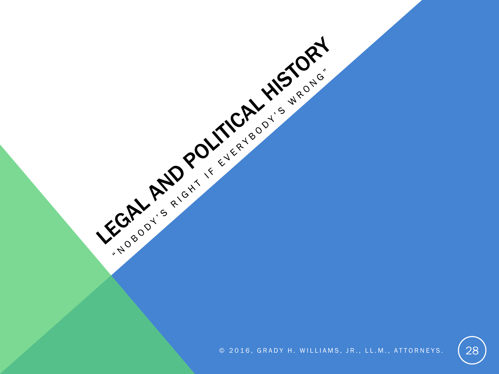$\circ$  2016, GRADY H. WILLIAMS, JR., LL.M., ATTORNEYS.  $\{28\}$ 

LEGAL AND POLITICAL HISTORY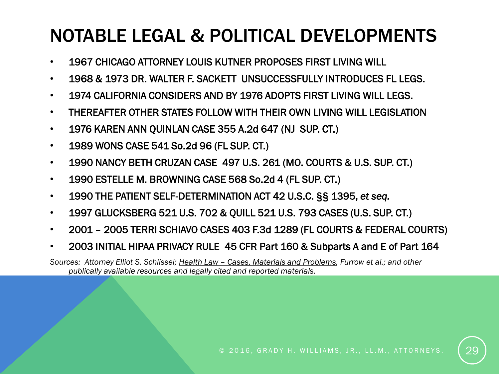#### NOTABLE LEGAL & POLITICAL DEVELOPMENTS

- 1967 CHICAGO ATTORNEY LOUIS KUTNER PROPOSES FIRST LIVING WILL
- 1968 & 1973 DR. WALTER F. SACKETT UNSUCCESSFULLY INTRODUCES FL LEGS.
- 1974 CALIFORNIA CONSIDERS AND BY 1976 ADOPTS FIRST LIVING WILL LEGS.
- THEREAFTER OTHER STATES FOLLOW WITH THEIR OWN LIVING WILL LEGISLATION
- 1976 KAREN ANN QUINLAN CASE 355 A.2d 647 (NJ SUP. CT.)
- 1989 WONS CASE 541 So.2d 96 (FL SUP. CT.)
- 1990 NANCY BETH CRUZAN CASE 497 U.S. 261 (MO. COURTS & U.S. SUP. CT.)
- 1990 ESTELLE M. BROWNING CASE 568 So.2d 4 (FL SUP. CT.)
- 1990 THE PATIENT SELF-DETERMINATION ACT 42 U.S.C. §§ 1395, *et seq.*
- 1997 GLUCKSBERG 521 U.S. 702 & QUILL 521 U.S. 793 CASES (U.S. SUP. CT.)
- 2001 2005 TERRI SCHIAVO CASES 403 F.3d 1289 (FL COURTS & FEDERAL COURTS)
- 2003 INITIAL HIPAA PRIVACY RULE 45 CFR Part 160 & Subparts A and E of Part 164

*Sources: Attorney Elliot S. Schlissel; Health Law – Cases, Materials and Problems, Furrow et al.; and other publically available resources and legally cited and reported materials.*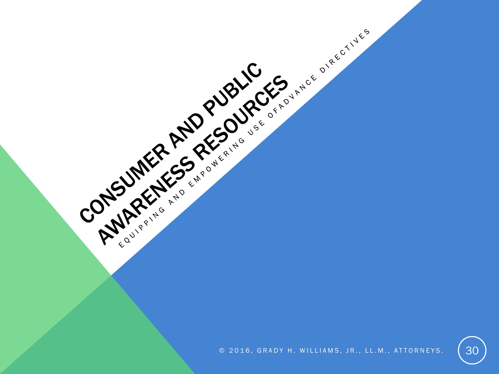

CONSUMER ARISONALGES AND PLACES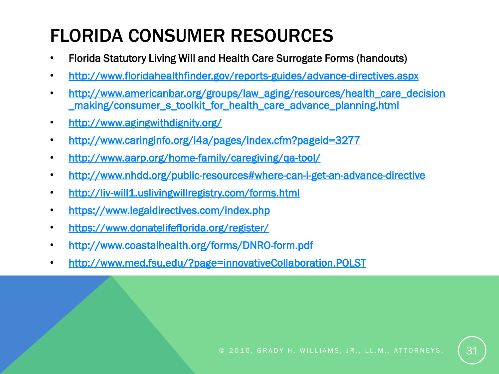### FLORIDA CONSUMER RESOURCES

- Florida Statutory Living Will and Health Care Surrogate Forms (handouts)
- <http://www.floridahealthfinder.gov/reports-guides/advance-directives.aspx>
- http://www.americanbar.org/groups/law\_aging/resources/health\_care\_decision [\\_making/consumer\\_s\\_toolkit\\_for\\_health\\_care\\_advance\\_planning.html](http://www.americanbar.org/groups/law_aging/resources/health_care_decision_making/consumer_s_toolkit_for_health_care_advance_planning.html)
- <http://www.agingwithdignity.org/>
- <http://www.caringinfo.org/i4a/pages/index.cfm?pageid=3277>
- <http://www.aarp.org/home-family/caregiving/qa-tool/>
- <http://www.nhdd.org/public-resources#where-can-i-get-an-advance-directive>
- <http://liv-will1.uslivingwillregistry.com/forms.html>
- <https://www.legaldirectives.com/index.php>
- <https://www.donatelifeflorida.org/register/>
- <http://www.coastalhealth.org/forms/DNRO-form.pdf>
- <http://www.med.fsu.edu/?page=innovativeCollaboration.POLST>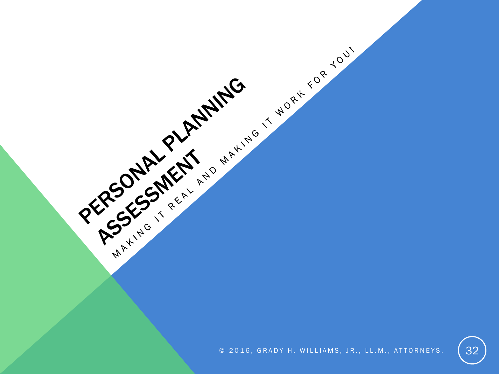

PEGGSARY PLANTIC STRATEGIES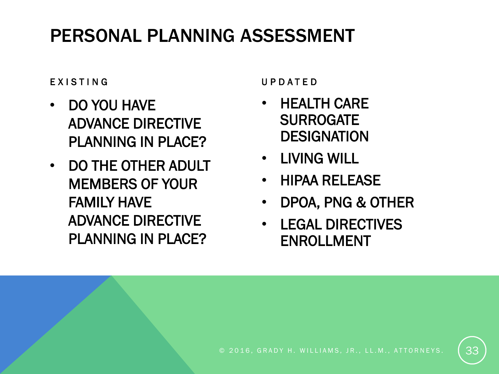#### PERSONAL PLANNING ASSESSMENT

#### **EXISTING**

- DO YOU HAVE ADVANCE DIRECTIVE PLANNING IN PLACE?
- DO THE OTHER ADULT MEMBERS OF YOUR FAMILY HAVE ADVANCE DIRECTIVE PLANNING IN PLACE?

U P D A T E D

- HEALTH CARE **SURROGATE DESIGNATION**
- LIVING WILL
- HIPAA RELEASE
- DPOA, PNG & OTHER
- LEGAL DIRECTIVES ENROLLMENT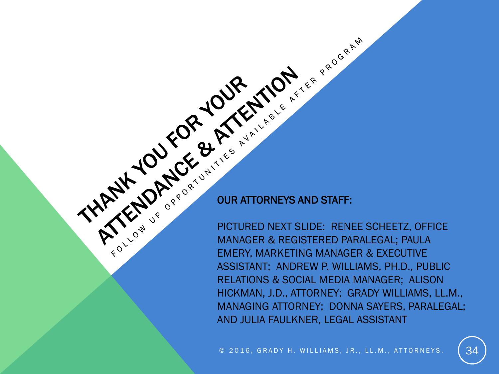THATKE OF POUR HIMPLY CAN A POST AND STAFF OF THE CANAL CANAL CANAL CANAL CANAL CANAL CANAL CANAL CANAL CANAL CANAL CANAL CANAL CANAL CANAL CANAL CANAL CANAL CANAL CANAL CANAL CANAL CANAL CANAL CANAL CANAL CANAL CANAL CANA PICTURED NEXT SLIDE: RENEE SCHEETZ, OFFICE MANAGER & REGISTERED PARALEGAL; PAULA EMERY, MARKETING MANAGER & EXECUTIVE ASSISTANT; ANDREW P. WILLIAMS, PH.D., PUBLIC RELATIONS & SOCIAL MEDIA MANAGER; ALISON HICKMAN, J.D., ATTORNEY; GRADY WILLIAMS, LL.M., MANAGING ATTORNEY; DONNA SAYERS, PARALEGAL; AND JULIA FAULKNER, LEGAL ASSISTANT